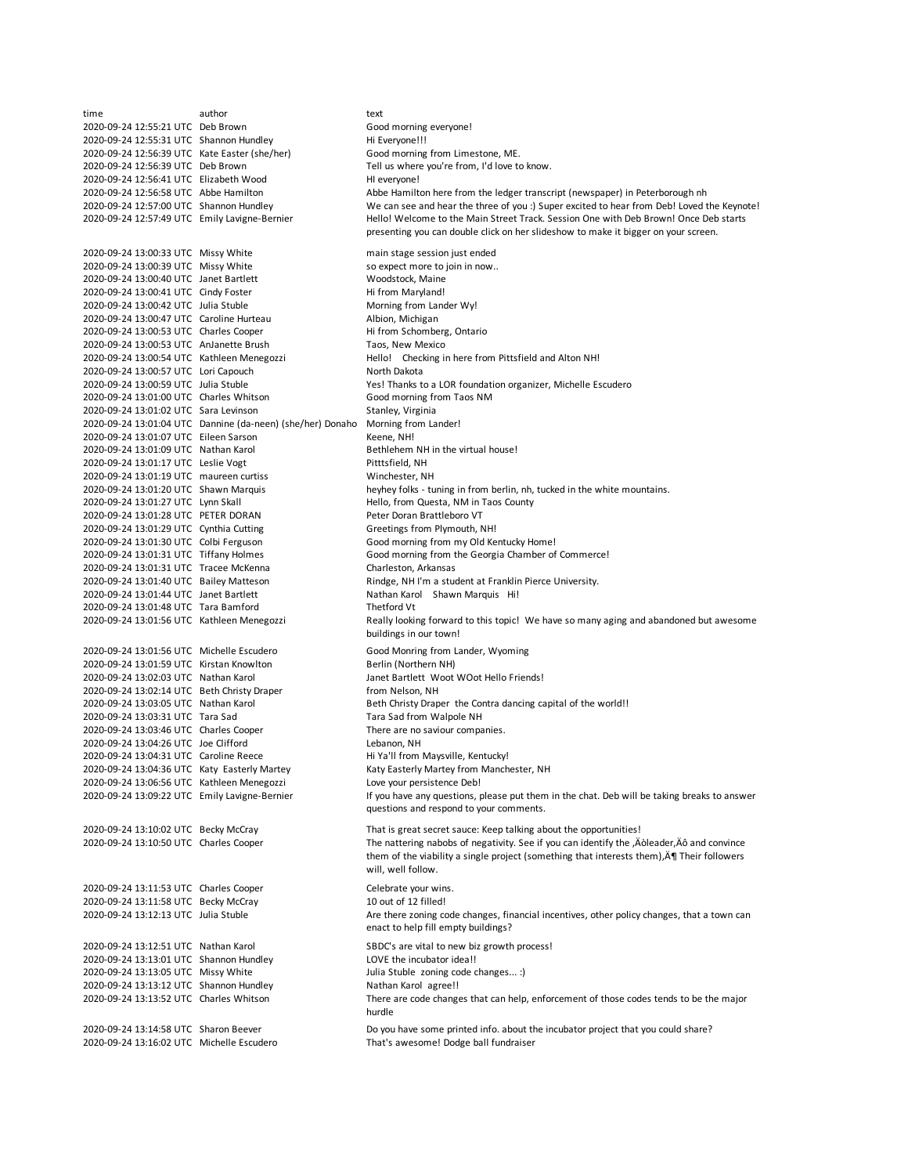time **author** author text 2020-09-24 12:55:21 UTC Deb Brown Good morning everyone! 2020-09-24 12:55:31 UTC Shannon Hundley<br>2020-09-24 12:56:39 UTC Kate Easter (she/her) Good morning from Limestone, ME. 2020-09-24 12:56:39 UTC Kate Easter (she/her) 2020-09-24 12:56:39 UTC Deb Brown Tell us where you're from, I'd love to know. 2020-09-24 12:56:41 UTC Elizabeth Wood HI everyone! 2020-09-24 12:56:58 UTC Abbe Hamilton Abbe Hamilton here from the ledger transcript (newspaper) in Peterborough nh 2020-09-24 12:57:00 UTC Shannon Hundley We can see and hear the three of you :) Super excited to hear from Deb! Loved the Keynote! 2020-09-24 12:57:49 UTC Emily Lavigne-Bernier 2020-09-24 13:00:33 UTC Missy White main stage session just ended 2020-09-24 13:00:39 UTC Missy White so expect more to join in now..<br>2020-09-24 13:00:40 UTC Janet Bartlett State State State Woodstock, Maine 2020-09-24 13:00:40 UTC Janet Bartlett 2020-09-24 13:00:41 UTC Cindy Foster Hi from Maryland! 2020-09-24 13:00:42 UTC Julia Stuble Morning from Lander Wy!<br>2020-09-24 13:00:47 UTC Caroline Hurteau Malpion, Michigan 2020-09-24 13:00:47 UTC Caroline Hurteau 2020-09-24 13:00:53 UTC Charles Cooper Hi from Schomberg, Ontario 2020-09-24 13:00:53 UTC AnJanette Brush Taos, New Mexico<br>2020-09-24 13:00:54 UTC Kathleen Menegozzi Hello! Checking i Hello! Checking in here from Pittsfield and Alton NH! 2020-09-24 13:00:57 UTC Lori Capouch North Dakota 2020-09-24 13:00:59 UTC Julia Stuble Yes! Thanks to a LOR foundation organizer, Michelle Escudero 2020-09-24 13:01:00 UTC Charles Whitson Good morning from Taos NM 2020-09-24 13:01:02 UTC Sara Levinson Stanley, Virginia 2020-09-24 13:01:04 UTC Dannine (da-neen) (she/her) Donaho Morning from Lander! 2020-09-24 13:01:07 UTC Eileen Sarson Keene, NH!  $2020-09-24\ 13:01:09\ UTC$  Nathan Karol Bethlehem NH in the virtual house!<br> $2020-09-24\ 13:01:17\ UTC$  Leslie Voet Bethlehem NH in the virtual house! 2020-09-24 13:01:17 UTC Leslie Vogt 2020-09-24 13:01:19 UTC maureen curtiss Winchester, NH heyhey folks - tuning in from berlin, nh, tucked in the white mountains. 2020-09-24 13:01:27 UTC Lynn Skall Hello, from Questa, NM in Taos County 2020-09-24 13:01:28 UTC PETER DORAN Peter Doran Brattleboro VT 2020-09-24 13:01:29 UTC Cynthia Cutting 2020-09-24 13:01:30 UTC Colbi Ferguson Good morning from my Old Kentucky Home! 2020-09-24 13:01:31 UTC Tiffany Holmes Good morning from the Georgia Chamber of Commerce! 2020-09-24 13:01:31 UTC Tracee McKenna Charleston, Arkansas 2020-09-24 13:01:40 UTC Bailey Matteson Rindge, NH I'm a student at Franklin Pierce University. 2020-09-24 13:01:44 UTC Janet Bartlett Nathan Karol Shawn Marquis Hi! 2020-09-24 13:01:48 UTC Tara Bamford Thetford Vt 2020-09-24 13:01:56 UTC Kathleen Menegozzi 2020-09-24 13:01:56 UTC Michelle Escudero Good Monring from Lander, Wyoming 2020-09-24 13:01:59 UTC Kirstan Knowlton Berlin (Northern NH)<br>2020-09-24 13:02:03 UTC Nathan Karol Berlin Berlin Manet Bartlett Woot Janet Bartlett Woot WOot Hello Friends! 2020-09-24 13:02:14 UTC Beth Christy Draper from Nelson, NH 2020-09-24 13:03:05 UTC Nathan Karol Beth Christy Draper the Contra dancing capital of the world!!<br>2020-09-24 13:03:31 UTC Tara Sad Strom Walpole NH 2020-09-24 13:03:31 UTC Tara Sad 2020-09-24 13:03:46 UTC Charles Cooper There are no saviour companies. 2020-09-24 13:04:26 UTC Joe Clifford<br>2020-09-24 13:04:31 UTC Caroline Reece His Maysville, Kentucky! 2020-09-24 13:04:31 UTC Caroline Reece 2020-09-24 13:04:36 UTC Katy Easterly Martey Katy Easterly Martey from Manchester, NH 2020-09-24 13:06:56 UTC Kathleen Menegozzi Love your persistence Deb! 2020-09-24 13:09:22 UTC Emily Lavigne-Bernier 2020-09-24 13:10:02 UTC Becky McCray That is great secret sauce: Keep talking about the opportunities! 2020-09-24 13:10:50 UTC Charles Cooper 2020-09-24 13:11:53 UTC Charles Cooper Celebrate your wins.<br>2020-09-24 13:11:58 UTC Becky McCray 10 0ut of 12 filled! 2020-09-24 13:11:58 UTC Becky McCray 2020-09-24 13:12:13 UTC Julia Stuble 2020-09-24 13:12:51 UTC Nathan Karol SBDC's are vital to new biz growth process! 2020-09-24 13:13:01 UTC Shannon Hundley LOVE the incubator idea!! 2020-09-24 13:13:05 UTC Missy White Julia Stuble zoning code changes... :) 2020-09-24 13:13:12 UTC Shannon Hundley Nathan Karol agree!! 2020-09-24 13:13:52 UTC Charles Whitson 2020-09-24 13:14:58 UTC Sharon Beever Do you have some printed info. about the incubator project that you could share?<br>2020-09-24 13:16:02 UTC Michelle Escudero That's awesome! Dodge ball fundraiser 2020-09-24 13:16:02 UTC Michelle Escudero Hello! Welcome to the Main Street Track. Session One with Deb Brown! Once Deb starts presenting you can double click on her slideshow to make it bigger on your screen. Really looking forward to this topic! We have so many aging and abandoned but awesome buildings in our town! If you have any questions, please put them in the chat. Deb will be taking breaks to answer questions and respond to your comments. The nattering nabobs of negativity. See if you can identify the ,Äòleader,Äô and convince them of the viability a single project (something that interests them), Ķ Their followers will, well follow. Are there zoning code changes, financial incentives, other policy changes, that a town can enact to help fill empty buildings? There are code changes that can help, enforcement of those codes tends to be the major hurdle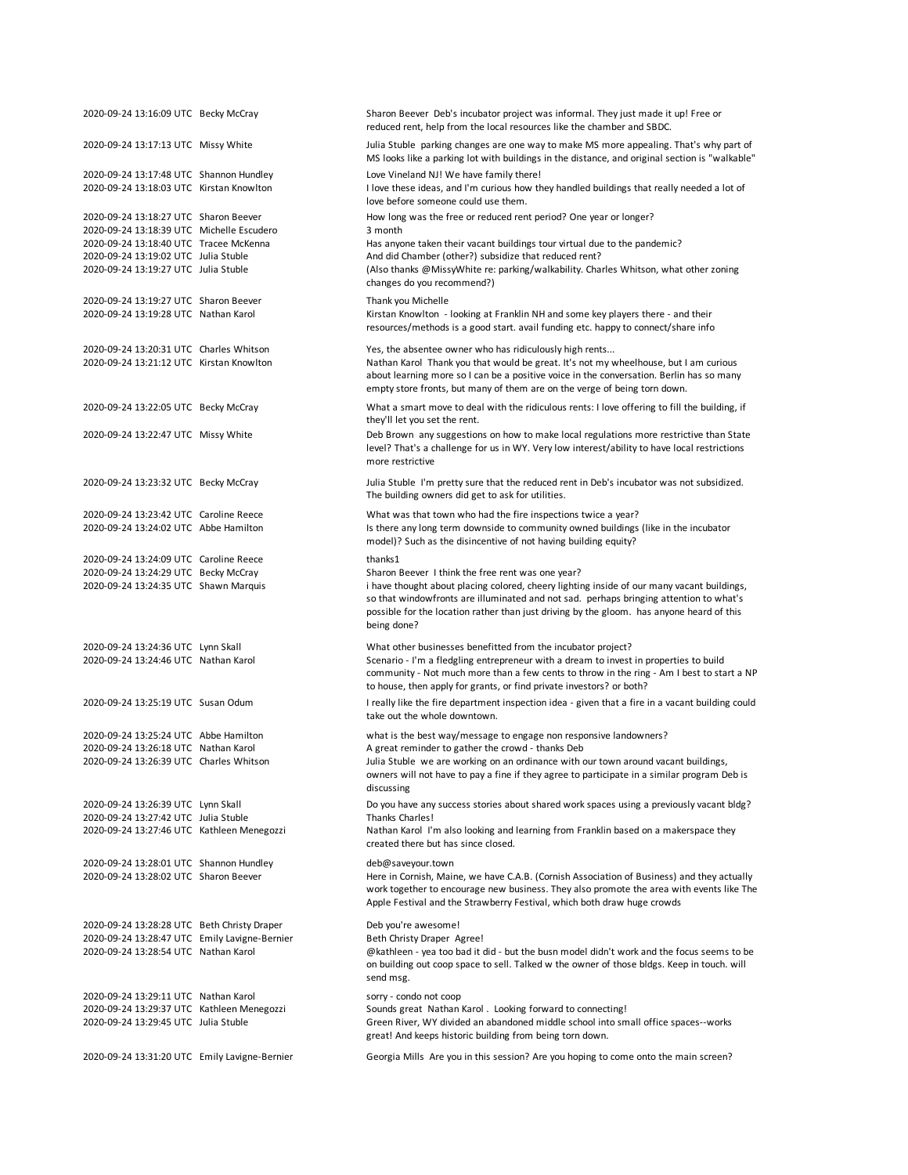| 2020-09-24 13:16:09 UTC Becky McCray          | Sharon Beever Deb's incubator project was informal. They just made it up! Free or<br>reduced rent, help from the local resources like the chamber and SBDC.                                                                                                                                      |
|-----------------------------------------------|--------------------------------------------------------------------------------------------------------------------------------------------------------------------------------------------------------------------------------------------------------------------------------------------------|
| 2020-09-24 13:17:13 UTC Missy White           | Julia Stuble parking changes are one way to make MS more appealing. That's why part of<br>MS looks like a parking lot with buildings in the distance, and original section is "walkable"                                                                                                         |
| 2020-09-24 13:17:48 UTC Shannon Hundley       | Love Vineland NJ! We have family there!                                                                                                                                                                                                                                                          |
| 2020-09-24 13:18:03 UTC Kirstan Knowlton      | I love these ideas, and I'm curious how they handled buildings that really needed a lot of<br>love before someone could use them.                                                                                                                                                                |
| 2020-09-24 13:18:27 UTC Sharon Beever         | How long was the free or reduced rent period? One year or longer?                                                                                                                                                                                                                                |
| 2020-09-24 13:18:39 UTC Michelle Escudero     | 3 month                                                                                                                                                                                                                                                                                          |
| 2020-09-24 13:18:40 UTC Tracee McKenna        | Has anyone taken their vacant buildings tour virtual due to the pandemic?                                                                                                                                                                                                                        |
| 2020-09-24 13:19:02 UTC Julia Stuble          | And did Chamber (other?) subsidize that reduced rent?                                                                                                                                                                                                                                            |
| 2020-09-24 13:19:27 UTC Julia Stuble          | (Also thanks @MissyWhite re: parking/walkability. Charles Whitson, what other zoning<br>changes do you recommend?)                                                                                                                                                                               |
| 2020-09-24 13:19:27 UTC Sharon Beever         | Thank you Michelle                                                                                                                                                                                                                                                                               |
| 2020-09-24 13:19:28 UTC Nathan Karol          | Kirstan Knowlton - looking at Franklin NH and some key players there - and their<br>resources/methods is a good start. avail funding etc. happy to connect/share info                                                                                                                            |
| 2020-09-24 13:20:31 UTC Charles Whitson       | Yes, the absentee owner who has ridiculously high rents                                                                                                                                                                                                                                          |
| 2020-09-24 13:21:12 UTC Kirstan Knowlton      | Nathan Karol Thank you that would be great. It's not my wheelhouse, but I am curious<br>about learning more so I can be a positive voice in the conversation. Berlin has so many<br>empty store fronts, but many of them are on the verge of being torn down.                                    |
| 2020-09-24 13:22:05 UTC Becky McCray          | What a smart move to deal with the ridiculous rents: I love offering to fill the building, if<br>they'll let you set the rent.                                                                                                                                                                   |
| 2020-09-24 13:22:47 UTC Missy White           | Deb Brown any suggestions on how to make local regulations more restrictive than State<br>level? That's a challenge for us in WY. Very low interest/ability to have local restrictions<br>more restrictive                                                                                       |
| 2020-09-24 13:23:32 UTC Becky McCray          | Julia Stuble I'm pretty sure that the reduced rent in Deb's incubator was not subsidized.<br>The building owners did get to ask for utilities.                                                                                                                                                   |
| 2020-09-24 13:23:42 UTC Caroline Reece        | What was that town who had the fire inspections twice a year?                                                                                                                                                                                                                                    |
| 2020-09-24 13:24:02 UTC Abbe Hamilton         | Is there any long term downside to community owned buildings (like in the incubator<br>model)? Such as the disincentive of not having building equity?                                                                                                                                           |
| 2020-09-24 13:24:09 UTC Caroline Reece        | thanks1                                                                                                                                                                                                                                                                                          |
| 2020-09-24 13:24:29 UTC Becky McCray          | Sharon Beever I think the free rent was one year?                                                                                                                                                                                                                                                |
| 2020-09-24 13:24:35 UTC Shawn Marquis         | i have thought about placing colored, cheery lighting inside of our many vacant buildings,<br>so that windowfronts are illuminated and not sad. perhaps bringing attention to what's<br>possible for the location rather than just driving by the gloom. has anyone heard of this<br>being done? |
| 2020-09-24 13:24:36 UTC Lynn Skall            | What other businesses benefitted from the incubator project?                                                                                                                                                                                                                                     |
| 2020-09-24 13:24:46 UTC Nathan Karol          | Scenario - I'm a fledgling entrepreneur with a dream to invest in properties to build                                                                                                                                                                                                            |
|                                               | community - Not much more than a few cents to throw in the ring - Am I best to start a NP<br>to house, then apply for grants, or find private investors? or both?                                                                                                                                |
| 2020-09-24 13:25:19 UTC Susan Odum            | I really like the fire department inspection idea - given that a fire in a vacant building could<br>take out the whole downtown.                                                                                                                                                                 |
| 2020-09-24 13:25:24 UTC Abbe Hamilton         | what is the best way/message to engage non responsive landowners?                                                                                                                                                                                                                                |
| 2020-09-24 13:26:18 UTC Nathan Karol          | A great reminder to gather the crowd - thanks Deb                                                                                                                                                                                                                                                |
| 2020-09-24 13:26:39 UTC Charles Whitson       | Julia Stuble we are working on an ordinance with our town around vacant buildings,                                                                                                                                                                                                               |
|                                               | owners will not have to pay a fine if they agree to participate in a similar program Deb is<br>discussing                                                                                                                                                                                        |
| 2020-09-24 13:26:39 UTC Lynn Skall            | Do you have any success stories about shared work spaces using a previously vacant bldg?                                                                                                                                                                                                         |
| 2020-09-24 13:27:42 UTC Julia Stuble          | Thanks Charles!                                                                                                                                                                                                                                                                                  |
| 2020-09-24 13:27:46 UTC Kathleen Menegozzi    | Nathan Karol I'm also looking and learning from Franklin based on a makerspace they<br>created there but has since closed.                                                                                                                                                                       |
| 2020-09-24 13:28:01 UTC Shannon Hundley       | deb@saveyour.town                                                                                                                                                                                                                                                                                |
| 2020-09-24 13:28:02 UTC Sharon Beever         | Here in Cornish, Maine, we have C.A.B. (Cornish Association of Business) and they actually<br>work together to encourage new business. They also promote the area with events like The<br>Apple Festival and the Strawberry Festival, which both draw huge crowds                                |
| 2020-09-24 13:28:28 UTC Beth Christy Draper   | Deb you're awesome!                                                                                                                                                                                                                                                                              |
| 2020-09-24 13:28:47 UTC Emily Lavigne-Bernier | Beth Christy Draper Agree!                                                                                                                                                                                                                                                                       |
| 2020-09-24 13:28:54 UTC Nathan Karol          | @kathleen - yea too bad it did - but the busn model didn't work and the focus seems to be<br>on building out coop space to sell. Talked w the owner of those bldgs. Keep in touch. will<br>send msg.                                                                                             |
| 2020-09-24 13:29:11 UTC Nathan Karol          | sorry - condo not coop                                                                                                                                                                                                                                                                           |
| 2020-09-24 13:29:37 UTC Kathleen Menegozzi    | Sounds great Nathan Karol . Looking forward to connecting!                                                                                                                                                                                                                                       |
| 2020-09-24 13:29:45 UTC Julia Stuble          | Green River, WY divided an abandoned middle school into small office spaces--works<br>great! And keeps historic building from being torn down.                                                                                                                                                   |
| 2020-09-24 13:31:20 UTC Emily Lavigne-Bernier | Georgia Mills Are you in this session? Are you hoping to come onto the main screen?                                                                                                                                                                                                              |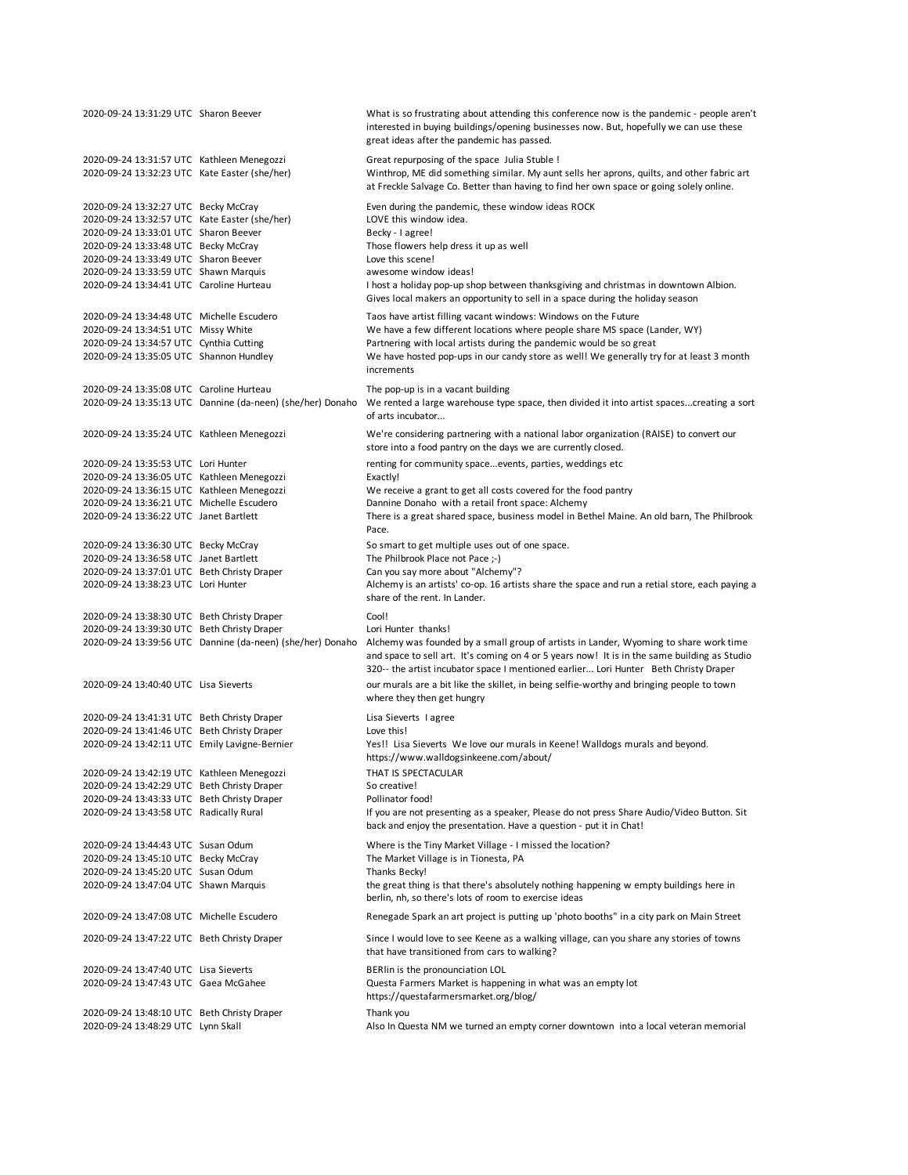| 2020-09-24 13:31:29 UTC Sharon Beever                                                       |                                                            | What is so frustrating about attending this conference now is the pandemic - people aren't<br>interested in buying buildings/opening businesses now. But, hopefully we can use these<br>great ideas after the pandemic has passed.                                            |
|---------------------------------------------------------------------------------------------|------------------------------------------------------------|-------------------------------------------------------------------------------------------------------------------------------------------------------------------------------------------------------------------------------------------------------------------------------|
| 2020-09-24 13:31:57 UTC Kathleen Menegozzi<br>2020-09-24 13:32:23 UTC Kate Easter (she/her) |                                                            | Great repurposing of the space Julia Stuble !<br>Winthrop, ME did something similar. My aunt sells her aprons, quilts, and other fabric art<br>at Freckle Salvage Co. Better than having to find her own space or going solely online.                                        |
| 2020-09-24 13:32:27 UTC Becky McCray                                                        |                                                            | Even during the pandemic, these window ideas ROCK                                                                                                                                                                                                                             |
| 2020-09-24 13:32:57 UTC Kate Easter (she/her)                                               |                                                            | LOVE this window idea.                                                                                                                                                                                                                                                        |
| 2020-09-24 13:33:01 UTC Sharon Beever                                                       |                                                            | Becky - I agree!                                                                                                                                                                                                                                                              |
| 2020-09-24 13:33:48 UTC Becky McCray                                                        |                                                            | Those flowers help dress it up as well                                                                                                                                                                                                                                        |
| 2020-09-24 13:33:49 UTC Sharon Beever                                                       |                                                            | Love this scene!                                                                                                                                                                                                                                                              |
| 2020-09-24 13:33:59 UTC Shawn Marquis<br>2020-09-24 13:34:41 UTC Caroline Hurteau           |                                                            | awesome window ideas!<br>I host a holiday pop-up shop between thanksgiving and christmas in downtown Albion.<br>Gives local makers an opportunity to sell in a space during the holiday season                                                                                |
| 2020-09-24 13:34:48 UTC Michelle Escudero                                                   |                                                            | Taos have artist filling vacant windows: Windows on the Future                                                                                                                                                                                                                |
| 2020-09-24 13:34:51 UTC Missy White                                                         |                                                            | We have a few different locations where people share MS space (Lander, WY)                                                                                                                                                                                                    |
| 2020-09-24 13:34:57 UTC Cynthia Cutting                                                     |                                                            | Partnering with local artists during the pandemic would be so great                                                                                                                                                                                                           |
| 2020-09-24 13:35:05 UTC Shannon Hundley                                                     |                                                            | We have hosted pop-ups in our candy store as well! We generally try for at least 3 month<br>increments                                                                                                                                                                        |
| 2020-09-24 13:35:08 UTC Caroline Hurteau                                                    |                                                            | The pop-up is in a vacant building                                                                                                                                                                                                                                            |
|                                                                                             |                                                            | 2020-09-24 13:35:13 UTC Dannine (da-neen) (she/her) Donaho We rented a large warehouse type space, then divided it into artist spacescreating a sort<br>of arts incubator                                                                                                     |
| 2020-09-24 13:35:24 UTC Kathleen Menegozzi                                                  |                                                            | We're considering partnering with a national labor organization (RAISE) to convert our<br>store into a food pantry on the days we are currently closed.                                                                                                                       |
| 2020-09-24 13:35:53 UTC Lori Hunter                                                         |                                                            | renting for community spaceevents, parties, weddings etc                                                                                                                                                                                                                      |
| 2020-09-24 13:36:05 UTC Kathleen Menegozzi                                                  |                                                            | Exactly!                                                                                                                                                                                                                                                                      |
| 2020-09-24 13:36:15 UTC Kathleen Menegozzi                                                  |                                                            | We receive a grant to get all costs covered for the food pantry                                                                                                                                                                                                               |
| 2020-09-24 13:36:21 UTC Michelle Escudero                                                   |                                                            | Dannine Donaho with a retail front space: Alchemy                                                                                                                                                                                                                             |
| 2020-09-24 13:36:22 UTC Janet Bartlett                                                      |                                                            | There is a great shared space, business model in Bethel Maine. An old barn, The Philbrook<br>Pace.                                                                                                                                                                            |
| 2020-09-24 13:36:30 UTC Becky McCray                                                        |                                                            | So smart to get multiple uses out of one space.                                                                                                                                                                                                                               |
| 2020-09-24 13:36:58 UTC Janet Bartlett                                                      |                                                            | The Philbrook Place not Pace ;-)                                                                                                                                                                                                                                              |
| 2020-09-24 13:37:01 UTC Beth Christy Draper                                                 |                                                            | Can you say more about "Alchemy"?                                                                                                                                                                                                                                             |
| 2020-09-24 13:38:23 UTC Lori Hunter                                                         |                                                            | Alchemy is an artists' co-op. 16 artists share the space and run a retial store, each paying a<br>share of the rent. In Lander.                                                                                                                                               |
| 2020-09-24 13:38:30 UTC Beth Christy Draper                                                 |                                                            | Cool!                                                                                                                                                                                                                                                                         |
| 2020-09-24 13:39:30 UTC Beth Christy Draper                                                 |                                                            | Lori Hunter thanks!                                                                                                                                                                                                                                                           |
|                                                                                             | 2020-09-24 13:39:56 UTC Dannine (da-neen) (she/her) Donaho | Alchemy was founded by a small group of artists in Lander, Wyoming to share work time<br>and space to sell art. It's coming on 4 or 5 years now! It is in the same building as Studio<br>320-- the artist incubator space I mentioned earlier Lori Hunter Beth Christy Draper |
| 2020-09-24 13:40:40 UTC Lisa Sieverts                                                       |                                                            | our murals are a bit like the skillet, in being selfie-worthy and bringing people to town                                                                                                                                                                                     |
|                                                                                             |                                                            | where they then get hungry                                                                                                                                                                                                                                                    |
| 2020-09-24 13:41:31 UTC Beth Christy Draper                                                 |                                                            | Lisa Sieverts I agree                                                                                                                                                                                                                                                         |
| 2020-09-24 13:41:46 UTC Beth Christy Draper                                                 |                                                            | Love this!                                                                                                                                                                                                                                                                    |
| 2020-09-24 13:42:11 UTC Emily Lavigne-Bernier                                               |                                                            | Yes!! Lisa Sieverts We love our murals in Keene! Walldogs murals and beyond.<br>https://www.walldogsinkeene.com/about/                                                                                                                                                        |
| 2020-09-24 13:42:19 UTC Kathleen Menegozzi<br>2020-09-24 13:42:29 UTC Beth Christy Draper   |                                                            | THAT IS SPECTACULAR                                                                                                                                                                                                                                                           |
| 2020-09-24 13:43:33 UTC Beth Christy Draper                                                 |                                                            | So creative!<br>Pollinator food!                                                                                                                                                                                                                                              |
| 2020-09-24 13:43:58 UTC Radically Rural                                                     |                                                            | If you are not presenting as a speaker, Please do not press Share Audio/Video Button. Sit                                                                                                                                                                                     |
|                                                                                             |                                                            | back and enjoy the presentation. Have a question - put it in Chat!                                                                                                                                                                                                            |
| 2020-09-24 13:44:43 UTC Susan Odum                                                          |                                                            | Where is the Tiny Market Village - I missed the location?                                                                                                                                                                                                                     |
| 2020-09-24 13:45:10 UTC Becky McCray                                                        |                                                            | The Market Village is in Tionesta, PA                                                                                                                                                                                                                                         |
| 2020-09-24 13:45:20 UTC Susan Odum                                                          |                                                            | Thanks Becky!                                                                                                                                                                                                                                                                 |
| 2020-09-24 13:47:04 UTC Shawn Marquis                                                       |                                                            | the great thing is that there's absolutely nothing happening w empty buildings here in<br>berlin, nh, so there's lots of room to exercise ideas                                                                                                                               |
| 2020-09-24 13:47:08 UTC Michelle Escudero                                                   |                                                            | Renegade Spark an art project is putting up 'photo booths" in a city park on Main Street                                                                                                                                                                                      |
| 2020-09-24 13:47:22 UTC Beth Christy Draper                                                 |                                                            | Since I would love to see Keene as a walking village, can you share any stories of towns<br>that have transitioned from cars to walking?                                                                                                                                      |
| 2020-09-24 13:47:40 UTC Lisa Sieverts                                                       |                                                            | BERlin is the pronounciation LOL                                                                                                                                                                                                                                              |
| 2020-09-24 13:47:43 UTC Gaea McGahee                                                        |                                                            | Questa Farmers Market is happening in what was an empty lot                                                                                                                                                                                                                   |
|                                                                                             |                                                            | https://questafarmersmarket.org/blog/                                                                                                                                                                                                                                         |
| 2020-09-24 13:48:10 UTC Beth Christy Draper                                                 |                                                            | Thank you                                                                                                                                                                                                                                                                     |
| 2020-09-24 13:48:29 UTC Lynn Skall                                                          |                                                            | Also In Questa NM we turned an empty corner downtown into a local veteran memorial                                                                                                                                                                                            |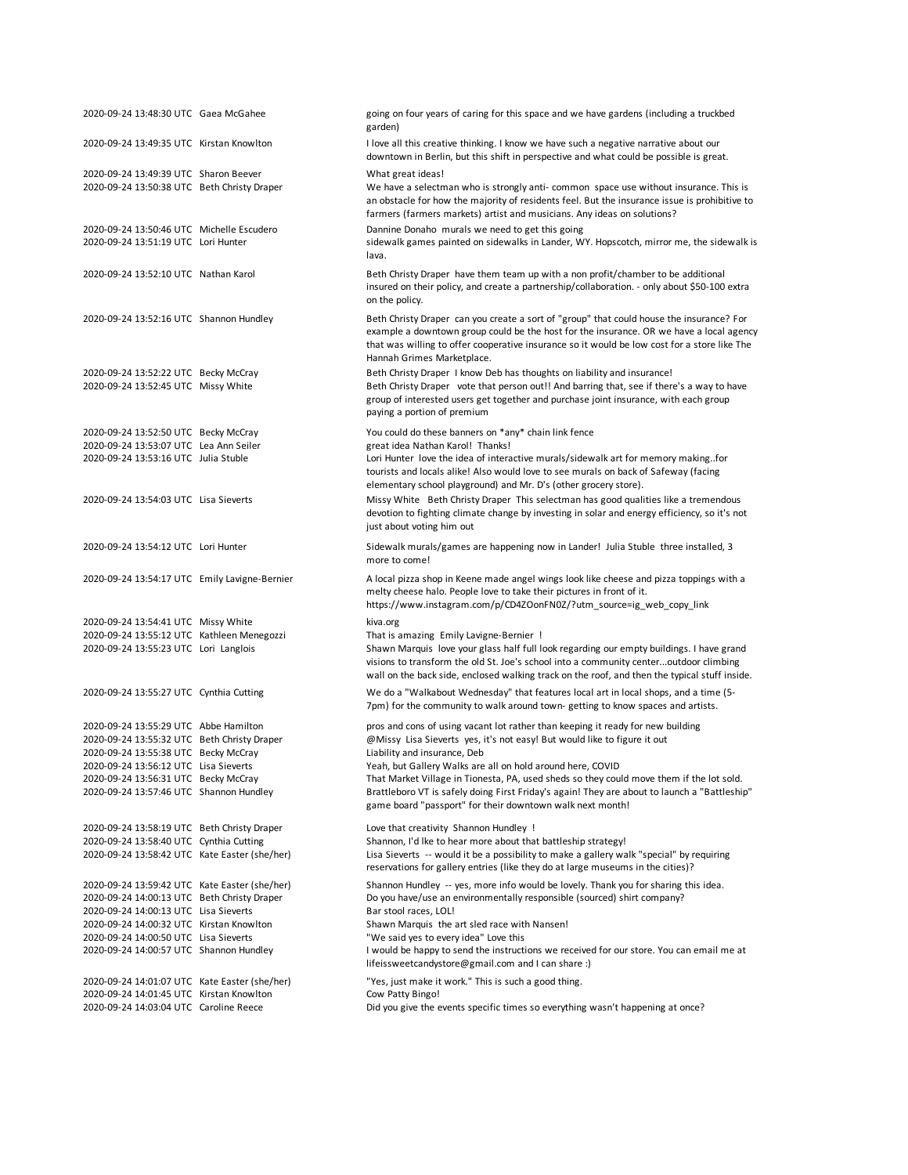| 2020-09-24 13:48:30 UTC Gaea McGahee                                              | going on four years of caring for this space and we have gardens (including a truckbed<br>garden)                                                                                                                                                                                                                 |
|-----------------------------------------------------------------------------------|-------------------------------------------------------------------------------------------------------------------------------------------------------------------------------------------------------------------------------------------------------------------------------------------------------------------|
| 2020-09-24 13:49:35 UTC Kirstan Knowlton                                          | I love all this creative thinking. I know we have such a negative narrative about our<br>downtown in Berlin, but this shift in perspective and what could be possible is great.                                                                                                                                   |
| 2020-09-24 13:49:39 UTC Sharon Beever                                             | What great ideas!                                                                                                                                                                                                                                                                                                 |
| 2020-09-24 13:50:38 UTC Beth Christy Draper                                       | We have a selectman who is strongly anti-common space use without insurance. This is<br>an obstacle for how the majority of residents feel. But the insurance issue is prohibitive to<br>farmers (farmers markets) artist and musicians. Any ideas on solutions?                                                  |
| 2020-09-24 13:50:46 UTC Michelle Escudero<br>2020-09-24 13:51:19 UTC Lori Hunter  | Dannine Donaho murals we need to get this going<br>sidewalk games painted on sidewalks in Lander, WY. Hopscotch, mirror me, the sidewalk is<br>lava.                                                                                                                                                              |
| 2020-09-24 13:52:10 UTC Nathan Karol                                              | Beth Christy Draper have them team up with a non profit/chamber to be additional<br>insured on their policy, and create a partnership/collaboration. - only about \$50-100 extra<br>on the policy.                                                                                                                |
| 2020-09-24 13:52:16 UTC Shannon Hundley                                           | Beth Christy Draper can you create a sort of "group" that could house the insurance? For<br>example a downtown group could be the host for the insurance. OR we have a local agency<br>that was willing to offer cooperative insurance so it would be low cost for a store like The<br>Hannah Grimes Marketplace. |
| 2020-09-24 13:52:22 UTC Becky McCray<br>2020-09-24 13:52:45 UTC Missy White       | Beth Christy Draper I know Deb has thoughts on liability and insurance!<br>Beth Christy Draper vote that person out!! And barring that, see if there's a way to have<br>group of interested users get together and purchase joint insurance, with each group<br>paying a portion of premium                       |
| 2020-09-24 13:52:50 UTC Becky McCray                                              | You could do these banners on *any* chain link fence                                                                                                                                                                                                                                                              |
| 2020-09-24 13:53:07 UTC Lea Ann Seiler                                            | great idea Nathan Karol! Thanks!                                                                                                                                                                                                                                                                                  |
| 2020-09-24 13:53:16 UTC Julia Stuble                                              | Lori Hunter love the idea of interactive murals/sidewalk art for memory makingfor<br>tourists and locals alike! Also would love to see murals on back of Safeway (facing<br>elementary school playground) and Mr. D's (other grocery store).                                                                      |
| 2020-09-24 13:54:03 UTC Lisa Sieverts                                             | Missy White Beth Christy Draper This selectman has good qualities like a tremendous<br>devotion to fighting climate change by investing in solar and energy efficiency, so it's not<br>just about voting him out                                                                                                  |
| 2020-09-24 13:54:12 UTC Lori Hunter                                               | Sidewalk murals/games are happening now in Lander! Julia Stuble three installed, 3<br>more to come!                                                                                                                                                                                                               |
| 2020-09-24 13:54:17 UTC Emily Lavigne-Bernier                                     | A local pizza shop in Keene made angel wings look like cheese and pizza toppings with a<br>melty cheese halo. People love to take their pictures in front of it.<br>https://www.instagram.com/p/CD4ZOonFN0Z/?utm_source=ig_web_copy_link                                                                          |
| 2020-09-24 13:54:41 UTC Missy White                                               | kiva.org                                                                                                                                                                                                                                                                                                          |
| 2020-09-24 13:55:12 UTC Kathleen Menegozzi                                        | That is amazing Emily Lavigne-Bernier!                                                                                                                                                                                                                                                                            |
| 2020-09-24 13:55:23 UTC Lori Langlois                                             | Shawn Marquis love your glass half full look regarding our empty buildings. I have grand<br>visions to transform the old St. Joe's school into a community centeroutdoor climbing<br>wall on the back side, enclosed walking track on the roof, and then the typical stuff inside.                                |
| 2020-09-24 13:55:27 UTC Cynthia Cutting                                           | We do a "Walkabout Wednesday" that features local art in local shops, and a time (5-<br>7pm) for the community to walk around town-getting to know spaces and artists.                                                                                                                                            |
| 2020-09-24 13:55:29 UTC Abbe Hamilton                                             | pros and cons of using vacant lot rather than keeping it ready for new building                                                                                                                                                                                                                                   |
| 2020-09-24 13:55:32 UTC Beth Christy Draper                                       | @Missy Lisa Sieverts yes, it's not easy! But would like to figure it out                                                                                                                                                                                                                                          |
| 2020-09-24 13:55:38 UTC Becky McCray                                              | Liability and insurance, Deb                                                                                                                                                                                                                                                                                      |
| 2020-09-24 13:56:12 UTC Lisa Sieverts                                             | Yeah, but Gallery Walks are all on hold around here, COVID                                                                                                                                                                                                                                                        |
| 2020-09-24 13:56:31 UTC Becky McCray                                              | That Market Village in Tionesta, PA, used sheds so they could move them if the lot sold.                                                                                                                                                                                                                          |
| 2020-09-24 13:57:46 UTC Shannon Hundley                                           | Brattleboro VT is safely doing First Friday's again! They are about to launch a "Battleship"<br>game board "passport" for their downtown walk next month!                                                                                                                                                         |
| 2020-09-24 13:58:19 UTC Beth Christy Draper                                       | Love that creativity Shannon Hundley !                                                                                                                                                                                                                                                                            |
| 2020-09-24 13:58:40 UTC Cynthia Cutting                                           | Shannon, I'd Ike to hear more about that battleship strategy!                                                                                                                                                                                                                                                     |
| 2020-09-24 13:58:42 UTC Kate Easter (she/her)                                     | Lisa Sieverts -- would it be a possibility to make a gallery walk "special" by requiring<br>reservations for gallery entries (like they do at large museums in the cities)?                                                                                                                                       |
| 2020-09-24 13:59:42 UTC Kate Easter (she/her)                                     | Shannon Hundley -- yes, more info would be lovely. Thank you for sharing this idea.                                                                                                                                                                                                                               |
| 2020-09-24 14:00:13 UTC Beth Christy Draper                                       | Do you have/use an environmentally responsible (sourced) shirt company?                                                                                                                                                                                                                                           |
| 2020-09-24 14:00:13 UTC Lisa Sieverts<br>2020-09-24 14:00:32 UTC Kirstan Knowlton | Bar stool races, LOL!<br>Shawn Marquis the art sled race with Nansen!                                                                                                                                                                                                                                             |
| 2020-09-24 14:00:50 UTC Lisa Sieverts                                             | "We said yes to every idea" Love this                                                                                                                                                                                                                                                                             |
| 2020-09-24 14:00:57 UTC Shannon Hundley                                           | I would be happy to send the instructions we received for our store. You can email me at<br>lifeissweetcandystore@gmail.com and I can share :)                                                                                                                                                                    |
| 2020-09-24 14:01:07 UTC Kate Easter (she/her)                                     | "Yes, just make it work." This is such a good thing.                                                                                                                                                                                                                                                              |
| 2020-09-24 14:01:45 UTC Kirstan Knowlton                                          | Cow Patty Bingo!                                                                                                                                                                                                                                                                                                  |
| 2020-09-24 14:03:04 UTC Caroline Reece                                            | Did you give the events specific times so everything wasn't happening at once?                                                                                                                                                                                                                                    |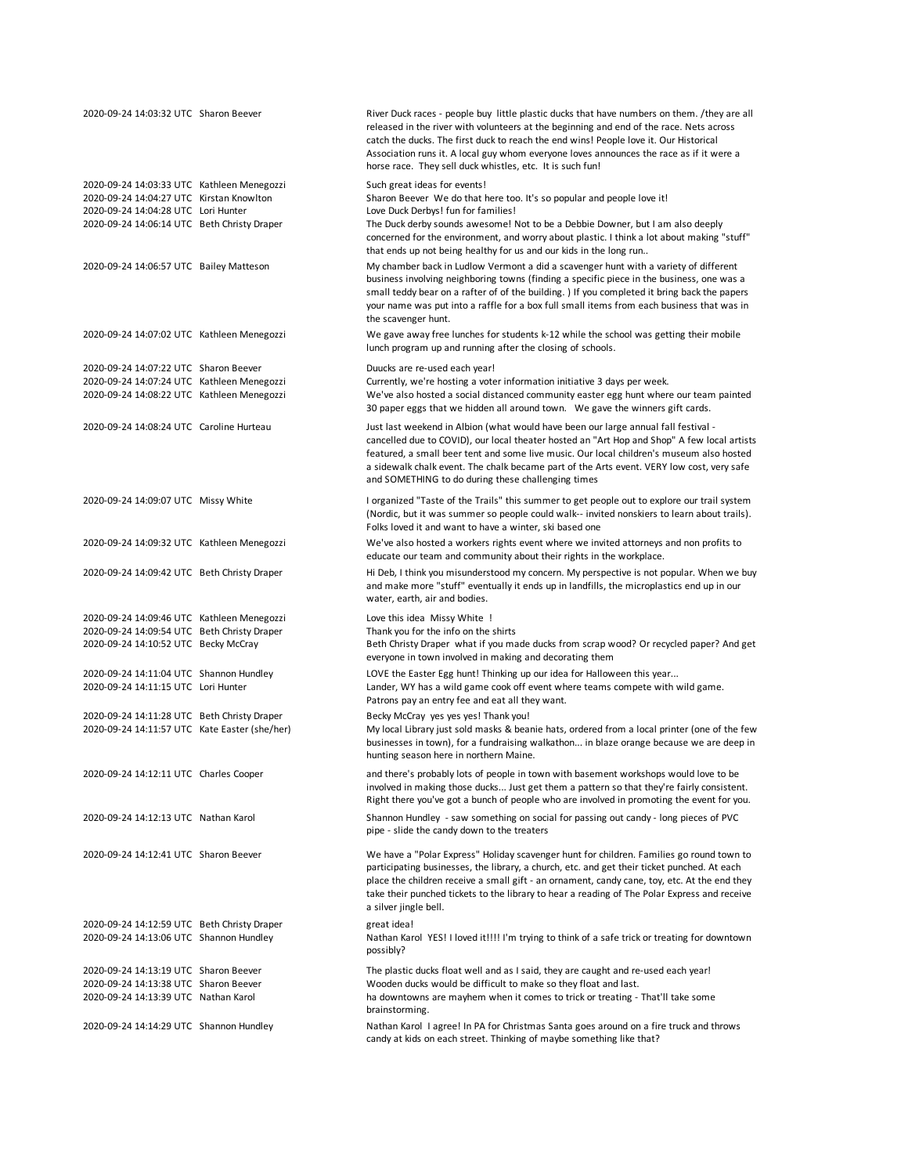| 2020-09-24 14:03:32 UTC Sharon Beever         | River Duck races - people buy little plastic ducks that have numbers on them. /they are all<br>released in the river with volunteers at the beginning and end of the race. Nets across<br>catch the ducks. The first duck to reach the end wins! People love it. Our Historical<br>Association runs it. A local guy whom everyone loves announces the race as if it were a<br>horse race. They sell duck whistles, etc. It is such fun! |
|-----------------------------------------------|-----------------------------------------------------------------------------------------------------------------------------------------------------------------------------------------------------------------------------------------------------------------------------------------------------------------------------------------------------------------------------------------------------------------------------------------|
| 2020-09-24 14:03:33 UTC Kathleen Menegozzi    | Such great ideas for events!                                                                                                                                                                                                                                                                                                                                                                                                            |
| 2020-09-24 14:04:27 UTC Kirstan Knowlton      | Sharon Beever We do that here too. It's so popular and people love it!                                                                                                                                                                                                                                                                                                                                                                  |
| 2020-09-24 14:04:28 UTC Lori Hunter           | Love Duck Derbys! fun for families!                                                                                                                                                                                                                                                                                                                                                                                                     |
| 2020-09-24 14:06:14 UTC Beth Christy Draper   | The Duck derby sounds awesome! Not to be a Debbie Downer, but I am also deeply                                                                                                                                                                                                                                                                                                                                                          |
|                                               | concerned for the environment, and worry about plastic. I think a lot about making "stuff"<br>that ends up not being healthy for us and our kids in the long run                                                                                                                                                                                                                                                                        |
| 2020-09-24 14:06:57 UTC Bailey Matteson       | My chamber back in Ludlow Vermont a did a scavenger hunt with a variety of different                                                                                                                                                                                                                                                                                                                                                    |
|                                               | business involving neighboring towns (finding a specific piece in the business, one was a<br>small teddy bear on a rafter of of the building. ) If you completed it bring back the papers<br>your name was put into a raffle for a box full small items from each business that was in<br>the scavenger hunt.                                                                                                                           |
| 2020-09-24 14:07:02 UTC Kathleen Menegozzi    | We gave away free lunches for students k-12 while the school was getting their mobile<br>lunch program up and running after the closing of schools.                                                                                                                                                                                                                                                                                     |
| 2020-09-24 14:07:22 UTC Sharon Beever         | Duucks are re-used each year!                                                                                                                                                                                                                                                                                                                                                                                                           |
| 2020-09-24 14:07:24 UTC Kathleen Menegozzi    | Currently, we're hosting a voter information initiative 3 days per week.                                                                                                                                                                                                                                                                                                                                                                |
| 2020-09-24 14:08:22 UTC Kathleen Menegozzi    | We've also hosted a social distanced community easter egg hunt where our team painted                                                                                                                                                                                                                                                                                                                                                   |
|                                               | 30 paper eggs that we hidden all around town. We gave the winners gift cards.                                                                                                                                                                                                                                                                                                                                                           |
| 2020-09-24 14:08:24 UTC Caroline Hurteau      | Just last weekend in Albion (what would have been our large annual fall festival -                                                                                                                                                                                                                                                                                                                                                      |
|                                               | cancelled due to COVID), our local theater hosted an "Art Hop and Shop" A few local artists                                                                                                                                                                                                                                                                                                                                             |
|                                               | featured, a small beer tent and some live music. Our local children's museum also hosted                                                                                                                                                                                                                                                                                                                                                |
|                                               | a sidewalk chalk event. The chalk became part of the Arts event. VERY low cost, very safe<br>and SOMETHING to do during these challenging times                                                                                                                                                                                                                                                                                         |
| 2020-09-24 14:09:07 UTC Missy White           | I organized "Taste of the Trails" this summer to get people out to explore our trail system                                                                                                                                                                                                                                                                                                                                             |
|                                               | (Nordic, but it was summer so people could walk-- invited nonskiers to learn about trails).                                                                                                                                                                                                                                                                                                                                             |
|                                               | Folks loved it and want to have a winter, ski based one                                                                                                                                                                                                                                                                                                                                                                                 |
| 2020-09-24 14:09:32 UTC Kathleen Menegozzi    | We've also hosted a workers rights event where we invited attorneys and non profits to                                                                                                                                                                                                                                                                                                                                                  |
|                                               | educate our team and community about their rights in the workplace.                                                                                                                                                                                                                                                                                                                                                                     |
| 2020-09-24 14:09:42 UTC Beth Christy Draper   | Hi Deb, I think you misunderstood my concern. My perspective is not popular. When we buy                                                                                                                                                                                                                                                                                                                                                |
|                                               | and make more "stuff" eventually it ends up in landfills, the microplastics end up in our                                                                                                                                                                                                                                                                                                                                               |
|                                               | water, earth, air and bodies.                                                                                                                                                                                                                                                                                                                                                                                                           |
| 2020-09-24 14:09:46 UTC Kathleen Menegozzi    | Love this idea Missy White !                                                                                                                                                                                                                                                                                                                                                                                                            |
| 2020-09-24 14:09:54 UTC Beth Christy Draper   | Thank you for the info on the shirts                                                                                                                                                                                                                                                                                                                                                                                                    |
| 2020-09-24 14:10:52 UTC Becky McCray          | Beth Christy Draper what if you made ducks from scrap wood? Or recycled paper? And get                                                                                                                                                                                                                                                                                                                                                  |
|                                               | everyone in town involved in making and decorating them                                                                                                                                                                                                                                                                                                                                                                                 |
| 2020-09-24 14:11:04 UTC Shannon Hundley       | LOVE the Easter Egg hunt! Thinking up our idea for Halloween this year                                                                                                                                                                                                                                                                                                                                                                  |
| 2020-09-24 14:11:15 UTC Lori Hunter           | Lander, WY has a wild game cook off event where teams compete with wild game.                                                                                                                                                                                                                                                                                                                                                           |
|                                               | Patrons pay an entry fee and eat all they want.                                                                                                                                                                                                                                                                                                                                                                                         |
| 2020-09-24 14:11:28 UTC Beth Christy Draper   | Becky McCray yes yes yes! Thank you!                                                                                                                                                                                                                                                                                                                                                                                                    |
| 2020-09-24 14:11:57 UTC Kate Easter (she/her) | My local Library just sold masks & beanie hats, ordered from a local printer (one of the few                                                                                                                                                                                                                                                                                                                                            |
|                                               | businesses in town), for a fundraising walkathon in blaze orange because we are deep in                                                                                                                                                                                                                                                                                                                                                 |
|                                               | hunting season here in northern Maine.                                                                                                                                                                                                                                                                                                                                                                                                  |
| 2020-09-24 14:12:11 UTC Charles Cooper        | and there's probably lots of people in town with basement workshops would love to be                                                                                                                                                                                                                                                                                                                                                    |
|                                               | involved in making those ducks Just get them a pattern so that they're fairly consistent.                                                                                                                                                                                                                                                                                                                                               |
|                                               | Right there you've got a bunch of people who are involved in promoting the event for you.                                                                                                                                                                                                                                                                                                                                               |
|                                               |                                                                                                                                                                                                                                                                                                                                                                                                                                         |
| 2020-09-24 14:12:13 UTC Nathan Karol          | Shannon Hundley - saw something on social for passing out candy - long pieces of PVC<br>pipe - slide the candy down to the treaters                                                                                                                                                                                                                                                                                                     |
| 2020-09-24 14:12:41 UTC Sharon Beever         | We have a "Polar Express" Holiday scavenger hunt for children. Families go round town to                                                                                                                                                                                                                                                                                                                                                |
|                                               | participating businesses, the library, a church, etc. and get their ticket punched. At each                                                                                                                                                                                                                                                                                                                                             |
|                                               | place the children receive a small gift - an ornament, candy cane, toy, etc. At the end they                                                                                                                                                                                                                                                                                                                                            |
|                                               | take their punched tickets to the library to hear a reading of The Polar Express and receive                                                                                                                                                                                                                                                                                                                                            |
|                                               | a silver jingle bell.                                                                                                                                                                                                                                                                                                                                                                                                                   |
|                                               |                                                                                                                                                                                                                                                                                                                                                                                                                                         |
| 2020-09-24 14:12:59 UTC Beth Christy Draper   | great idea!                                                                                                                                                                                                                                                                                                                                                                                                                             |
| 2020-09-24 14:13:06 UTC Shannon Hundley       | Nathan Karol YES! I loved it!!!! I'm trying to think of a safe trick or treating for downtown                                                                                                                                                                                                                                                                                                                                           |
|                                               | possibly?                                                                                                                                                                                                                                                                                                                                                                                                                               |
| 2020-09-24 14:13:19 UTC Sharon Beever         | The plastic ducks float well and as I said, they are caught and re-used each year!                                                                                                                                                                                                                                                                                                                                                      |
| 2020-09-24 14:13:38 UTC Sharon Beever         | Wooden ducks would be difficult to make so they float and last.                                                                                                                                                                                                                                                                                                                                                                         |
| 2020-09-24 14:13:39 UTC Nathan Karol          | ha downtowns are mayhem when it comes to trick or treating - That'll take some                                                                                                                                                                                                                                                                                                                                                          |
|                                               | brainstorming.                                                                                                                                                                                                                                                                                                                                                                                                                          |
| 2020-09-24 14:14:29 UTC Shannon Hundley       | Nathan Karol I agree! In PA for Christmas Santa goes around on a fire truck and throws                                                                                                                                                                                                                                                                                                                                                  |
|                                               | candy at kids on each street. Thinking of maybe something like that?                                                                                                                                                                                                                                                                                                                                                                    |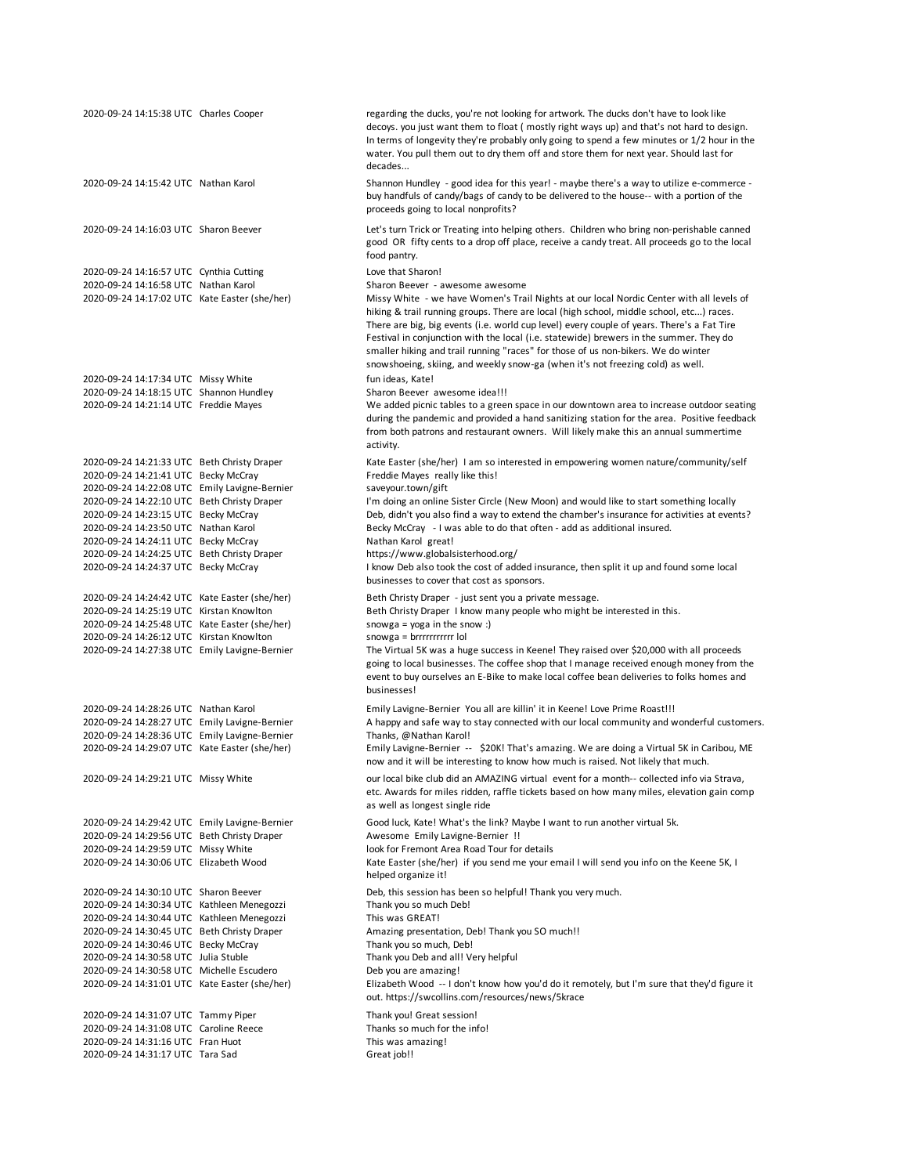| 2020-09-24 14:15:38 UTC Charles Cooper                                                                                                                                              | regarding the ducks, you're not looking for artwork. The ducks don't have to look like<br>decoys. you just want them to float (mostly right ways up) and that's not hard to design.<br>In terms of longevity they're probably only going to spend a few minutes or 1/2 hour in the<br>water. You pull them out to dry them off and store them for next year. Should last for<br>decades                                                                                                                                                                                               |
|-------------------------------------------------------------------------------------------------------------------------------------------------------------------------------------|---------------------------------------------------------------------------------------------------------------------------------------------------------------------------------------------------------------------------------------------------------------------------------------------------------------------------------------------------------------------------------------------------------------------------------------------------------------------------------------------------------------------------------------------------------------------------------------|
| 2020-09-24 14:15:42 UTC Nathan Karol                                                                                                                                                | Shannon Hundley - good idea for this year! - maybe there's a way to utilize e-commerce -<br>buy handfuls of candy/bags of candy to be delivered to the house-- with a portion of the<br>proceeds going to local nonprofits?                                                                                                                                                                                                                                                                                                                                                           |
| 2020-09-24 14:16:03 UTC Sharon Beever                                                                                                                                               | Let's turn Trick or Treating into helping others. Children who bring non-perishable canned<br>good OR fifty cents to a drop off place, receive a candy treat. All proceeds go to the local<br>food pantry.                                                                                                                                                                                                                                                                                                                                                                            |
| 2020-09-24 14:16:57 UTC Cynthia Cutting                                                                                                                                             | Love that Sharon!                                                                                                                                                                                                                                                                                                                                                                                                                                                                                                                                                                     |
| 2020-09-24 14:16:58 UTC Nathan Karol<br>2020-09-24 14:17:02 UTC Kate Easter (she/her)                                                                                               | Sharon Beever - awesome awesome<br>Missy White - we have Women's Trail Nights at our local Nordic Center with all levels of<br>hiking & trail running groups. There are local (high school, middle school, etc) races.<br>There are big, big events (i.e. world cup level) every couple of years. There's a Fat Tire<br>Festival in conjunction with the local (i.e. statewide) brewers in the summer. They do<br>smaller hiking and trail running "races" for those of us non-bikers. We do winter<br>snowshoeing, skiing, and weekly snow-ga (when it's not freezing cold) as well. |
| 2020-09-24 14:17:34 UTC Missy White                                                                                                                                                 | fun ideas, Kate!                                                                                                                                                                                                                                                                                                                                                                                                                                                                                                                                                                      |
| 2020-09-24 14:18:15 UTC Shannon Hundley<br>2020-09-24 14:21:14 UTC Freddie Mayes                                                                                                    | Sharon Beever awesome idea!!!<br>We added picnic tables to a green space in our downtown area to increase outdoor seating<br>during the pandemic and provided a hand sanitizing station for the area. Positive feedback<br>from both patrons and restaurant owners. Will likely make this an annual summertime<br>activity.                                                                                                                                                                                                                                                           |
| 2020-09-24 14:21:33 UTC Beth Christy Draper<br>2020-09-24 14:21:41 UTC Becky McCray<br>2020-09-24 14:22:08 UTC Emily Lavigne-Bernier<br>2020-09-24 14:22:10 UTC Beth Christy Draper | Kate Easter (she/her) I am so interested in empowering women nature/community/self<br>Freddie Mayes really like this!<br>saveyour.town/gift<br>I'm doing an online Sister Circle (New Moon) and would like to start something locally                                                                                                                                                                                                                                                                                                                                                 |
| 2020-09-24 14:23:15 UTC Becky McCray                                                                                                                                                | Deb, didn't you also find a way to extend the chamber's insurance for activities at events?                                                                                                                                                                                                                                                                                                                                                                                                                                                                                           |
| 2020-09-24 14:23:50 UTC Nathan Karol                                                                                                                                                | Becky McCray - I was able to do that often - add as additional insured.                                                                                                                                                                                                                                                                                                                                                                                                                                                                                                               |
| 2020-09-24 14:24:11 UTC Becky McCray<br>2020-09-24 14:24:25 UTC Beth Christy Draper                                                                                                 | Nathan Karol great!<br>https://www.globalsisterhood.org/                                                                                                                                                                                                                                                                                                                                                                                                                                                                                                                              |
| 2020-09-24 14:24:37 UTC Becky McCray                                                                                                                                                | I know Deb also took the cost of added insurance, then split it up and found some local<br>businesses to cover that cost as sponsors.                                                                                                                                                                                                                                                                                                                                                                                                                                                 |
| 2020-09-24 14:24:42 UTC Kate Easter (she/her)                                                                                                                                       | Beth Christy Draper - just sent you a private message.                                                                                                                                                                                                                                                                                                                                                                                                                                                                                                                                |
| 2020-09-24 14:25:19 UTC Kirstan Knowlton<br>2020-09-24 14:25:48 UTC Kate Easter (she/her)                                                                                           | Beth Christy Draper I know many people who might be interested in this.<br>snowga = $yoga$ in the snow :)                                                                                                                                                                                                                                                                                                                                                                                                                                                                             |
| 2020-09-24 14:26:12 UTC Kirstan Knowlton                                                                                                                                            | snowga = brrrrrrrrrrrr lol                                                                                                                                                                                                                                                                                                                                                                                                                                                                                                                                                            |
| 2020-09-24 14:27:38 UTC Emily Lavigne-Bernier                                                                                                                                       | The Virtual 5K was a huge success in Keene! They raised over \$20,000 with all proceeds<br>going to local businesses. The coffee shop that I manage received enough money from the<br>event to buy ourselves an E-Bike to make local coffee bean deliveries to folks homes and<br>businesses!                                                                                                                                                                                                                                                                                         |
| 2020-09-24 14:28:26 UTC Nathan Karol                                                                                                                                                | Emily Lavigne-Bernier You all are killin' it in Keene! Love Prime Roast!!!                                                                                                                                                                                                                                                                                                                                                                                                                                                                                                            |
| 2020-09-24 14:28:27 UTC Emily Lavigne-Bernier                                                                                                                                       | A happy and safe way to stay connected with our local community and wonderful customers.                                                                                                                                                                                                                                                                                                                                                                                                                                                                                              |
| 2020-09-24 14:28:36 UTC Emily Lavigne-Bernier<br>2020-09-24 14:29:07 UTC Kate Easter (she/her)                                                                                      | Thanks, @Nathan Karol!<br>Emily Lavigne-Bernier -- \$20K! That's amazing. We are doing a Virtual 5K in Caribou, ME<br>now and it will be interesting to know how much is raised. Not likely that much.                                                                                                                                                                                                                                                                                                                                                                                |
| 2020-09-24 14:29:21 UTC Missy White                                                                                                                                                 | our local bike club did an AMAZING virtual event for a month-- collected info via Strava,<br>etc. Awards for miles ridden, raffle tickets based on how many miles, elevation gain comp<br>as well as longest single ride                                                                                                                                                                                                                                                                                                                                                              |
| 2020-09-24 14:29:42 UTC Emily Lavigne-Bernier                                                                                                                                       | Good luck, Kate! What's the link? Maybe I want to run another virtual 5k.                                                                                                                                                                                                                                                                                                                                                                                                                                                                                                             |
| 2020-09-24 14:29:56 UTC Beth Christy Draper<br>2020-09-24 14:29:59 UTC Missy White                                                                                                  | Awesome Emily Lavigne-Bernier !!<br>look for Fremont Area Road Tour for details                                                                                                                                                                                                                                                                                                                                                                                                                                                                                                       |
| 2020-09-24 14:30:06 UTC Elizabeth Wood                                                                                                                                              | Kate Easter (she/her) if you send me your email I will send you info on the Keene 5K, I<br>helped organize it!                                                                                                                                                                                                                                                                                                                                                                                                                                                                        |
| 2020-09-24 14:30:10 UTC Sharon Beever                                                                                                                                               | Deb, this session has been so helpful! Thank you very much.                                                                                                                                                                                                                                                                                                                                                                                                                                                                                                                           |
| 2020-09-24 14:30:34 UTC Kathleen Menegozzi                                                                                                                                          | Thank you so much Deb!<br>This was GREAT!                                                                                                                                                                                                                                                                                                                                                                                                                                                                                                                                             |
| 2020-09-24 14:30:44 UTC Kathleen Menegozzi<br>2020-09-24 14:30:45 UTC Beth Christy Draper                                                                                           | Amazing presentation, Deb! Thank you SO much!!                                                                                                                                                                                                                                                                                                                                                                                                                                                                                                                                        |
| 2020-09-24 14:30:46 UTC Becky McCray                                                                                                                                                | Thank you so much, Deb!                                                                                                                                                                                                                                                                                                                                                                                                                                                                                                                                                               |
| 2020-09-24 14:30:58 UTC Julia Stuble                                                                                                                                                | Thank you Deb and all! Very helpful                                                                                                                                                                                                                                                                                                                                                                                                                                                                                                                                                   |
| 2020-09-24 14:30:58 UTC Michelle Escudero                                                                                                                                           | Deb you are amazing!                                                                                                                                                                                                                                                                                                                                                                                                                                                                                                                                                                  |
| 2020-09-24 14:31:01 UTC Kate Easter (she/her)                                                                                                                                       | Elizabeth Wood -- I don't know how you'd do it remotely, but I'm sure that they'd figure it<br>out. https://swcollins.com/resources/news/5krace                                                                                                                                                                                                                                                                                                                                                                                                                                       |
| 2020-09-24 14:31:07 UTC Tammy Piper<br>2020-09-24 14:31:08 UTC Caroline Reece                                                                                                       | Thank you! Great session!<br>Thanks so much for the info!                                                                                                                                                                                                                                                                                                                                                                                                                                                                                                                             |
| 2020-09-24 14:31:16 UTC Fran Huot                                                                                                                                                   | This was amazing!                                                                                                                                                                                                                                                                                                                                                                                                                                                                                                                                                                     |
| 2020-09-24 14:31:17 UTC Tara Sad                                                                                                                                                    | Great job!!                                                                                                                                                                                                                                                                                                                                                                                                                                                                                                                                                                           |
|                                                                                                                                                                                     |                                                                                                                                                                                                                                                                                                                                                                                                                                                                                                                                                                                       |